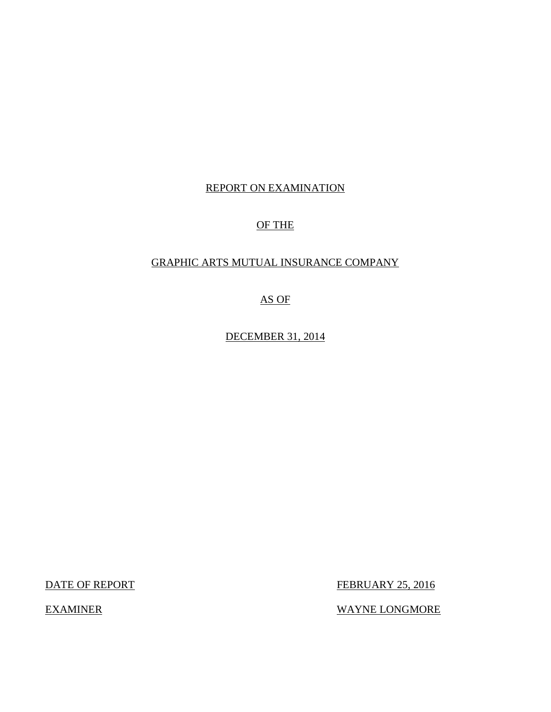## REPORT ON EXAMINATION

# OF THE

# GRAPHIC ARTS MUTUAL INSURANCE COMPANY

AS OF

DECEMBER 31, 2014

DATE OF REPORT FEBRUARY 25, 2016

EXAMINER WAYNE LONGMORE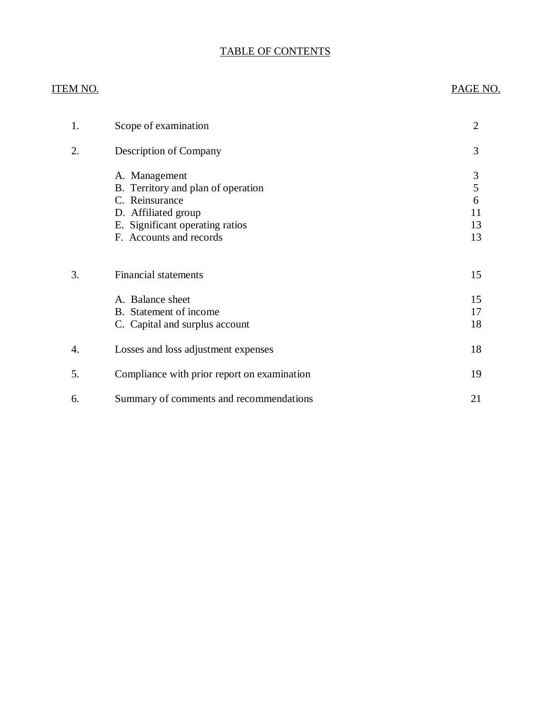# TABLE OF CONTENTS

| <u>ITEM NO.</u>  |                                             | PAGE NO.       |
|------------------|---------------------------------------------|----------------|
| 1.               | Scope of examination                        | $\overline{2}$ |
| 2.               | Description of Company                      | 3              |
|                  | A. Management                               | $\mathfrak{Z}$ |
|                  | B. Territory and plan of operation          | 5              |
|                  | C. Reinsurance                              | 6              |
|                  | D. Affiliated group                         | 11             |
|                  | E. Significant operating ratios             | 13             |
|                  | F. Accounts and records                     | 13             |
| 3.               | <b>Financial statements</b>                 | 15             |
|                  | A. Balance sheet                            | 15             |
|                  | B. Statement of income                      | 17             |
|                  | C. Capital and surplus account              | 18             |
| $\overline{4}$ . | Losses and loss adjustment expenses         | 18             |
| 5.               | Compliance with prior report on examination | 19             |
| 6.               | Summary of comments and recommendations     | 21             |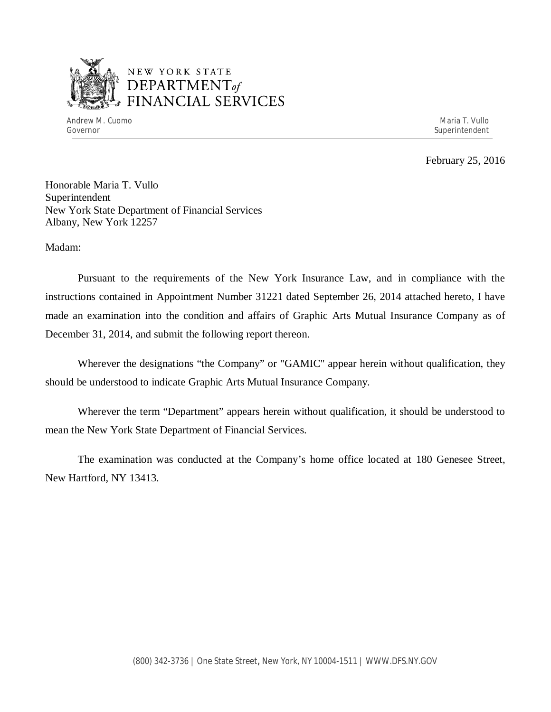

# NEW YORK STATE *DEPARTMENTof*  FINANCIAL SERVICES

Andrew M. Cuomo **Maria T. Vullo** Maria T. Vullo Maria T. Vullo Maria T. Vullo Maria T. Vullo Governor Superintendent Superintendent Superintendent Superintendent Superintendent Superintendent Superintendent

February 25, 2016

Honorable Maria T. Vullo Superintendent New York State Department of Financial Services Albany, New York 12257

Madam:

Pursuant to the requirements of the New York Insurance Law, and in compliance with the instructions contained in Appointment Number 31221 dated September 26, 2014 attached hereto, I have made an examination into the condition and affairs of Graphic Arts Mutual Insurance Company as of December 31, 2014, and submit the following report thereon.

Wherever the designations "the Company" or "GAMIC" appear herein without qualification, they should be understood to indicate Graphic Arts Mutual Insurance Company.

Wherever the term "Department" appears herein without qualification, it should be understood to mean the New York State Department of Financial Services.

The examination was conducted at the Company's home office located at 180 Genesee Street, New Hartford, NY 13413.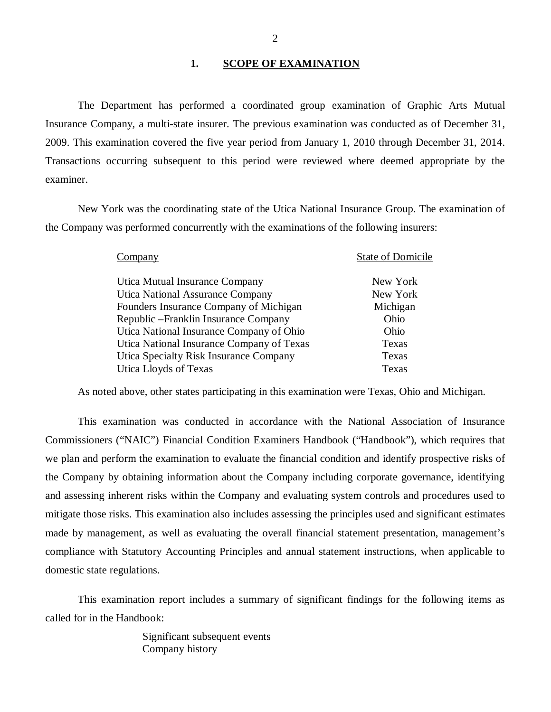#### 1. SCOPE OF EXAMINATION

<span id="page-3-0"></span>The Department has performed a coordinated group examination of Graphic Arts Mutual Insurance Company*,* a multi-state insurer. The previous examination was conducted as of December 31, 2009. This examination covered the five year period from January 1, 2010 through December 31, 2014. Transactions occurring subsequent to this period were reviewed where deemed appropriate by the examiner.

New York was the coordinating state of the Utica National Insurance Group. The examination of the Company was performed concurrently with the examinations of the following insurers:

| Company                                   | <b>State of Domicile</b> |
|-------------------------------------------|--------------------------|
| Utica Mutual Insurance Company            | New York                 |
| <b>Utica National Assurance Company</b>   | New York                 |
| Founders Insurance Company of Michigan    | Michigan                 |
| Republic – Franklin Insurance Company     | Ohio                     |
| Utica National Insurance Company of Ohio  | Ohio                     |
| Utica National Insurance Company of Texas | Texas                    |
| Utica Specialty Risk Insurance Company    | Texas                    |
| Utica Lloyds of Texas                     | Texas                    |

As noted above, other states participating in this examination were Texas, Ohio and Michigan.

This examination was conducted in accordance with the National Association of Insurance Commissioners ("NAIC") Financial Condition Examiners Handbook ("Handbook"), which requires that we plan and perform the examination to evaluate the financial condition and identify prospective risks of the Company by obtaining information about the Company including corporate governance, identifying and assessing inherent risks within the Company and evaluating system controls and procedures used to mitigate those risks. This examination also includes assessing the principles used and significant estimates made by management, as well as evaluating the overall financial statement presentation, management's compliance with Statutory Accounting Principles and annual statement instructions, when applicable to domestic state regulations.

This examination report includes a summary of significant findings for the following items as called for in the Handbook:

> Significant subsequent events Company history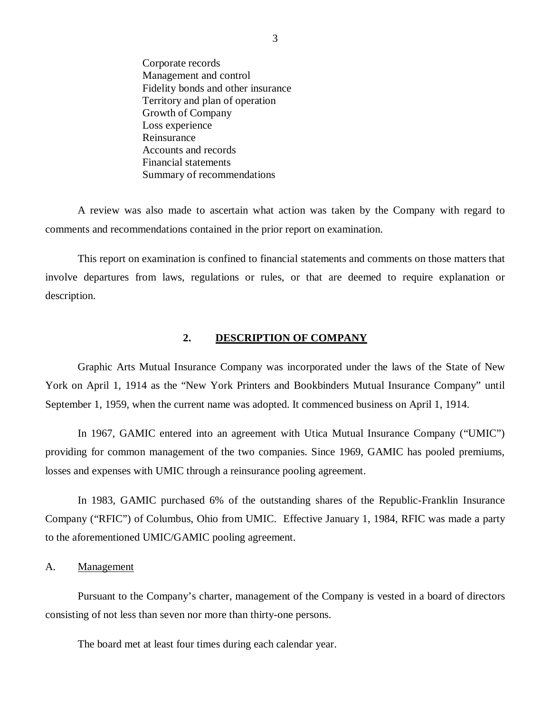<span id="page-4-0"></span>Corporate records Management and control Fidelity bonds and other insurance Territory and plan of operation Growth of Company Loss experience Reinsurance Accounts and records Financial statements Summary of recommendations

A review was also made to ascertain what action was taken by the Company with regard to comments and recommendations contained in the prior report on examination.

This report on examination is confined to financial statements and comments on those matters that involve departures from laws, regulations or rules, or that are deemed to require explanation or description.

#### **2. DESCRIPTION OF COMPANY**

Graphic Arts Mutual Insurance Company was incorporated under the laws of the State of New York on April 1, 1914 as the "New York Printers and Bookbinders Mutual Insurance Company" until September 1, 1959, when the current name was adopted. It commenced business on April 1, 1914.

In 1967, GAMIC entered into an agreement with Utica Mutual Insurance Company ("UMIC") providing for common management of the two companies. Since 1969, GAMIC has pooled premiums, losses and expenses with UMIC through a reinsurance pooling agreement.

In 1983, GAMIC purchased 6% of the outstanding shares of the Republic-Franklin Insurance Company ("RFIC") of Columbus, Ohio from UMIC. Effective January 1, 1984, RFIC was made a party to the aforementioned UMIC/GAMIC pooling agreement.

A. Management

Pursuant to the Company's charter, management of the Company is vested in a board of directors consisting of not less than seven nor more than thirty-one persons.

The board met at least four times during each calendar year.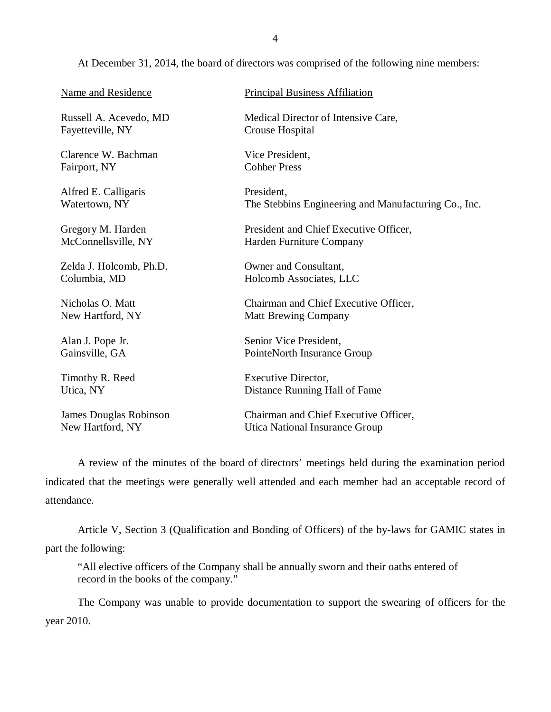At December 31, 2014, the board of directors was comprised of the following nine members:

| Name and Residence      | <b>Principal Business Affiliation</b>                |
|-------------------------|------------------------------------------------------|
| Russell A. Acevedo, MD  | Medical Director of Intensive Care,                  |
| Fayetteville, NY        | Crouse Hospital                                      |
| Clarence W. Bachman     | Vice President,                                      |
| Fairport, NY            | <b>Cohber Press</b>                                  |
| Alfred E. Calligaris    | President.                                           |
| Watertown, NY           | The Stebbins Engineering and Manufacturing Co., Inc. |
| Gregory M. Harden       | President and Chief Executive Officer,               |
| McConnellsville, NY     | Harden Furniture Company                             |
| Zelda J. Holcomb, Ph.D. | Owner and Consultant,                                |
| Columbia, MD            | Holcomb Associates, LLC                              |
| Nicholas O. Matt        | Chairman and Chief Executive Officer,                |
| New Hartford, NY        | <b>Matt Brewing Company</b>                          |
| Alan J. Pope Jr.        | Senior Vice President,                               |
| Gainsville, GA          | PointeNorth Insurance Group                          |
| Timothy R. Reed         | <b>Executive Director,</b>                           |
| Utica, NY               | Distance Running Hall of Fame                        |
| James Douglas Robinson  | Chairman and Chief Executive Officer,                |
| New Hartford, NY        | Utica National Insurance Group                       |

A review of the minutes of the board of directors' meetings held during the examination period indicated that the meetings were generally well attended and each member had an acceptable record of attendance.

Article V, Section 3 (Qualification and Bonding of Officers) of the by-laws for GAMIC states in part the following:

"All elective officers of the Company shall be annually sworn and their oaths entered of record in the books of the company."

The Company was unable to provide documentation to support the swearing of officers for the year 2010.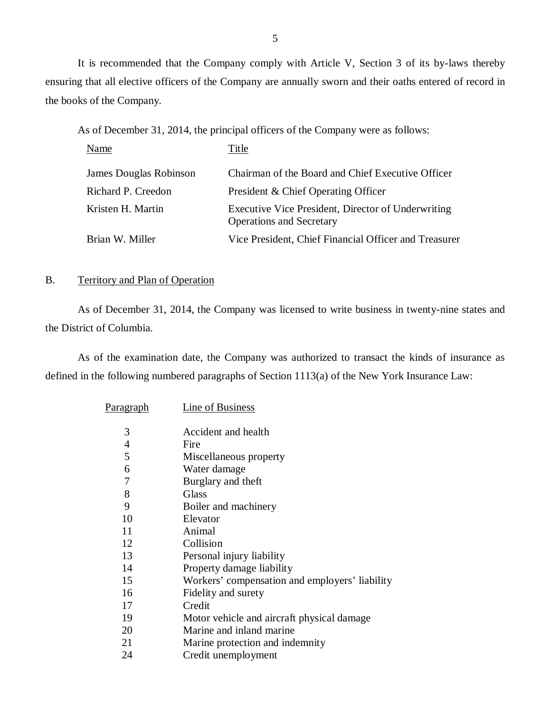<span id="page-6-0"></span>It is recommended that the Company comply with Article V, Section 3 of its by-laws thereby ensuring that all elective officers of the Company are annually sworn and their oaths entered of record in the books of the Company.

As of December 31, 2014, the principal officers of the Company were as follows:

| Name                   | Title                                                                                 |
|------------------------|---------------------------------------------------------------------------------------|
| James Douglas Robinson | Chairman of the Board and Chief Executive Officer                                     |
| Richard P. Creedon     | President & Chief Operating Officer                                                   |
| Kristen H. Martin      | Executive Vice President, Director of Underwriting<br><b>Operations and Secretary</b> |
| Brian W. Miller        | Vice President, Chief Financial Officer and Treasurer                                 |

### B. Territory and Plan of Operation

As of December 31, 2014, the Company was licensed to write business in twenty-nine states and the District of Columbia.

As of the examination date, the Company was authorized to transact the kinds of insurance as defined in the following numbered paragraphs of Section 1113(a) of the New York Insurance Law:

| <u>Paragraph</u> | <u>Line of Business</u>                        |
|------------------|------------------------------------------------|
|                  |                                                |
| 3                | Accident and health                            |
| 4                | Fire                                           |
| 5                | Miscellaneous property                         |
| 6                | Water damage                                   |
| 7                | Burglary and theft                             |
| 8                | <b>Glass</b>                                   |
| 9                | Boiler and machinery                           |
| 10               | Elevator                                       |
| 11               | Animal                                         |
| 12               | Collision                                      |
| 13               | Personal injury liability                      |
| 14               | Property damage liability                      |
| 15               | Workers' compensation and employers' liability |
| 16               | Fidelity and surety                            |
| 17               | Credit                                         |
| 19               | Motor vehicle and aircraft physical damage     |
| 20               | Marine and inland marine                       |
| 21               | Marine protection and indemnity                |
| 24               | Credit unemployment                            |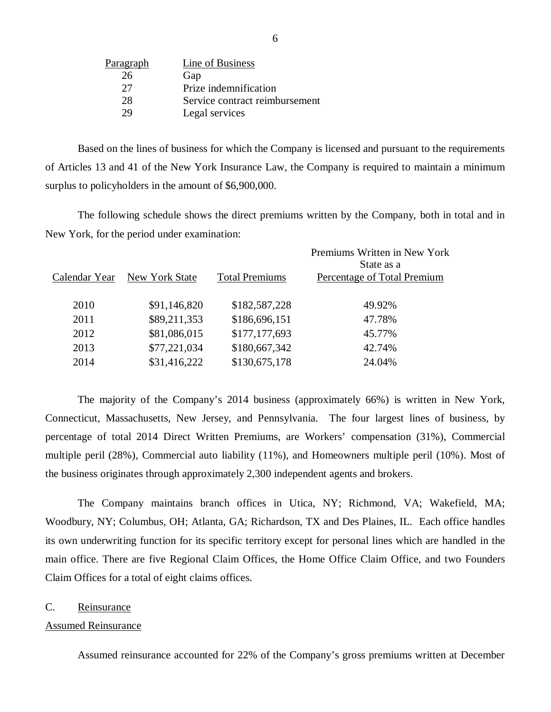| Paragraph | Line of Business               |
|-----------|--------------------------------|
| 26        | Gap                            |
| 27        | Prize indemnification          |
| 28        | Service contract reimbursement |
| 79        | Legal services                 |

Based on the lines of business for which the Company is licensed and pursuant to the requirements of Articles 13 and 41 of the New York Insurance Law, the Company is required to maintain a minimum surplus to policyholders in the amount of \$6,900,000.

The following schedule shows the direct premiums written by the Company, both in total and in New York, for the period under examination:

|               |                |                       | Premiums Written in New York<br>State as a |
|---------------|----------------|-----------------------|--------------------------------------------|
| Calendar Year | New York State | <b>Total Premiums</b> | Percentage of Total Premium                |
| 2010          | \$91,146,820   | \$182,587,228         | 49.92%                                     |
| 2011          | \$89,211,353   | \$186,696,151         | 47.78%                                     |
| 2012          | \$81,086,015   | \$177,177,693         | 45.77%                                     |
| 2013          | \$77,221,034   | \$180,667,342         | 42.74%                                     |
| 2014          | \$31,416,222   | \$130,675,178         | 24.04%                                     |
|               |                |                       |                                            |

The majority of the Company's 2014 business (approximately 66%) is written in New York, Connecticut, Massachusetts, New Jersey, and Pennsylvania. The four largest lines of business, by percentage of total 2014 Direct Written Premiums, are Workers' compensation (31%), Commercial multiple peril (28%), Commercial auto liability (11%), and Homeowners multiple peril (10%). Most of the business originates through approximately 2,300 independent agents and brokers.

The Company maintains branch offices in Utica, NY; Richmond, VA; Wakefield, MA; Woodbury, NY; Columbus, OH; Atlanta, GA; Richardson, TX and Des Plaines, IL. Each office handles its own underwriting function for its specific territory except for personal lines which are handled in the main office. There are five Regional Claim Offices, the Home Office Claim Office, and two Founders Claim Offices for a total of eight claims offices.

#### C. Reinsurance

#### Assumed Reinsurance

Assumed reinsurance accounted for 22% of the Company's gross premiums written at December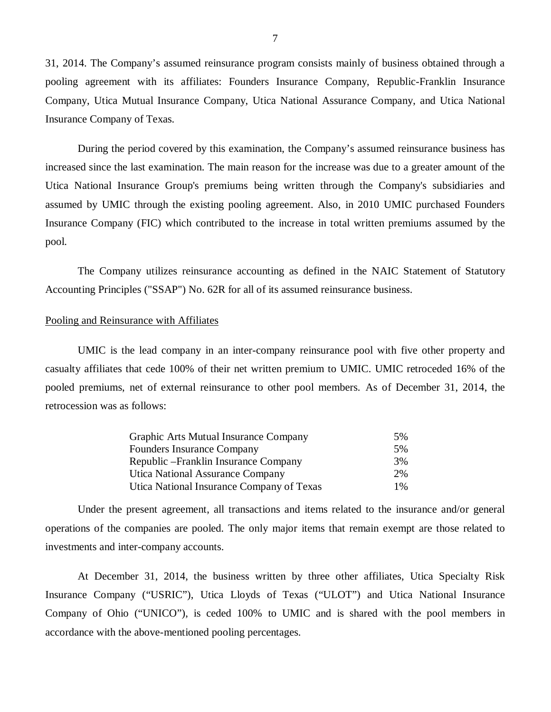31, 2014. The Company's assumed reinsurance program consists mainly of business obtained through a pooling agreement with its affiliates: Founders Insurance Company, Republic-Franklin Insurance Company, Utica Mutual Insurance Company, Utica National Assurance Company, and Utica National Insurance Company of Texas.

During the period covered by this examination, the Company's assumed reinsurance business has increased since the last examination. The main reason for the increase was due to a greater amount of the Utica National Insurance Group's premiums being written through the Company's subsidiaries and assumed by UMIC through the existing pooling agreement. Also, in 2010 UMIC purchased Founders Insurance Company (FIC) which contributed to the increase in total written premiums assumed by the pool.

The Company utilizes reinsurance accounting as defined in the NAIC Statement of Statutory Accounting Principles ("SSAP") No. 62R for all of its assumed reinsurance business.

#### Pooling and Reinsurance with Affiliates

UMIC is the lead company in an inter-company reinsurance pool with five other property and casualty affiliates that cede 100% of their net written premium to UMIC. UMIC retroceded 16% of the pooled premiums, net of external reinsurance to other pool members. As of December 31, 2014, the retrocession was as follows:

| Graphic Arts Mutual Insurance Company     | 5%    |
|-------------------------------------------|-------|
| <b>Founders Insurance Company</b>         | .5%   |
| Republic – Franklin Insurance Company     | 3%    |
| Utica National Assurance Company          | 2%    |
| Utica National Insurance Company of Texas | $1\%$ |

Under the present agreement, all transactions and items related to the insurance and/or general operations of the companies are pooled. The only major items that remain exempt are those related to investments and inter-company accounts.

At December 31, 2014, the business written by three other affiliates, Utica Specialty Risk Insurance Company ("USRIC"), Utica Lloyds of Texas ("ULOT") and Utica National Insurance Company of Ohio ("UNICO"), is ceded 100% to UMIC and is shared with the pool members in accordance with the above-mentioned pooling percentages.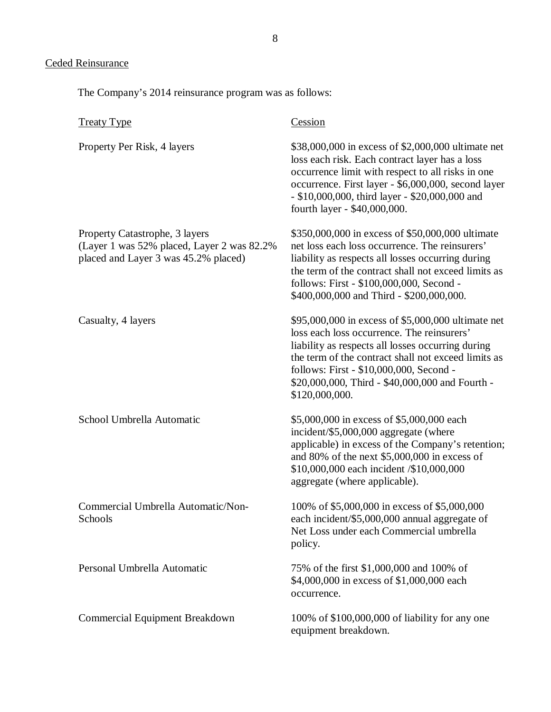# Ceded Reinsurance

The Company's 2014 reinsurance program was as follows:

| <b>Treaty Type</b>                                                                                                   | Cession                                                                                                                                                                                                                                                                                                                      |
|----------------------------------------------------------------------------------------------------------------------|------------------------------------------------------------------------------------------------------------------------------------------------------------------------------------------------------------------------------------------------------------------------------------------------------------------------------|
| Property Per Risk, 4 layers                                                                                          | \$38,000,000 in excess of \$2,000,000 ultimate net<br>loss each risk. Each contract layer has a loss<br>occurrence limit with respect to all risks in one<br>occurrence. First layer - \$6,000,000, second layer<br>- \$10,000,000, third layer - \$20,000,000 and<br>fourth layer - \$40,000,000.                           |
| Property Catastrophe, 3 layers<br>(Layer 1 was 52% placed, Layer 2 was 82.2%<br>placed and Layer 3 was 45.2% placed) | \$350,000,000 in excess of \$50,000,000 ultimate<br>net loss each loss occurrence. The reinsurers'<br>liability as respects all losses occurring during<br>the term of the contract shall not exceed limits as<br>follows: First - \$100,000,000, Second -<br>\$400,000,000 and Third - \$200,000,000.                       |
| Casualty, 4 layers                                                                                                   | \$95,000,000 in excess of \$5,000,000 ultimate net<br>loss each loss occurrence. The reinsurers'<br>liability as respects all losses occurring during<br>the term of the contract shall not exceed limits as<br>follows: First - \$10,000,000, Second -<br>\$20,000,000, Third - \$40,000,000 and Fourth -<br>\$120,000,000. |
| School Umbrella Automatic                                                                                            | \$5,000,000 in excess of \$5,000,000 each<br>incident/\$5,000,000 aggregate (where<br>applicable) in excess of the Company's retention;<br>and 80% of the next $$5,000,000$ in excess of<br>\$10,000,000 each incident /\$10,000,000<br>aggregate (where applicable).                                                        |
| Commercial Umbrella Automatic/Non-<br>Schools                                                                        | 100% of \$5,000,000 in excess of \$5,000,000<br>each incident/\$5,000,000 annual aggregate of<br>Net Loss under each Commercial umbrella<br>policy.                                                                                                                                                                          |
| Personal Umbrella Automatic                                                                                          | 75% of the first \$1,000,000 and 100% of<br>\$4,000,000 in excess of \$1,000,000 each<br>occurrence.                                                                                                                                                                                                                         |
| <b>Commercial Equipment Breakdown</b>                                                                                | 100% of \$100,000,000 of liability for any one<br>equipment breakdown.                                                                                                                                                                                                                                                       |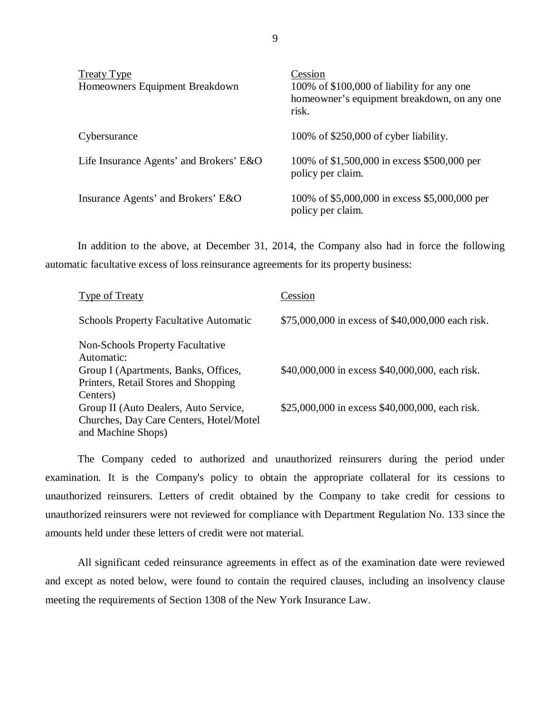| <b>Treaty Type</b><br>Homeowners Equipment Breakdown | Cession<br>100% of \$100,000 of liability for any one<br>homeowner's equipment breakdown, on any one<br>risk. |
|------------------------------------------------------|---------------------------------------------------------------------------------------------------------------|
| Cybersurance                                         | 100% of \$250,000 of cyber liability.                                                                         |
| Life Insurance Agents' and Brokers' E&O              | 100% of \$1,500,000 in excess \$500,000 per<br>policy per claim.                                              |
| Insurance Agents' and Brokers' E&O                   | 100% of \$5,000,000 in excess \$5,000,000 per<br>policy per claim.                                            |

In addition to the above, at December 31, 2014, the Company also had in force the following automatic facultative excess of loss reinsurance agreements for its property business:

| Type of Treaty                                                | Cession                                           |
|---------------------------------------------------------------|---------------------------------------------------|
| <b>Schools Property Facultative Automatic</b>                 | \$75,000,000 in excess of \$40,000,000 each risk. |
| <b>Non-Schools Property Facultative</b><br>Automatic:         |                                                   |
| Group I (Apartments, Banks, Offices,                          | \$40,000,000 in excess \$40,000,000, each risk.   |
| Printers, Retail Stores and Shopping<br>Centers)              |                                                   |
| Group II (Auto Dealers, Auto Service,                         | \$25,000,000 in excess \$40,000,000, each risk.   |
| Churches, Day Care Centers, Hotel/Motel<br>and Machine Shops) |                                                   |

The Company ceded to authorized and unauthorized reinsurers during the period under examination. It is the Company's policy to obtain the appropriate collateral for its cessions to unauthorized reinsurers. Letters of credit obtained by the Company to take credit for cessions to unauthorized reinsurers were not reviewed for compliance with Department Regulation No. 133 since the amounts held under these letters of credit were not material.

All significant ceded reinsurance agreements in effect as of the examination date were reviewed and except as noted below, were found to contain the required clauses, including an insolvency clause meeting the requirements of Section 1308 of the New York Insurance Law.

9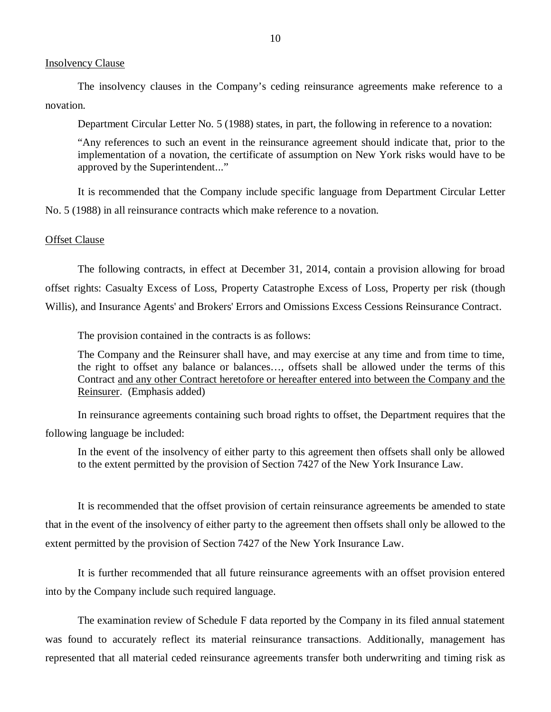#### Insolvency Clause

The insolvency clauses in the Company's ceding reinsurance agreements make reference to a novation.

Department Circular Letter No. 5 (1988) states, in part, the following in reference to a novation:

"Any references to such an event in the reinsurance agreement should indicate that, prior to the implementation of a novation, the certificate of assumption on New York risks would have to be approved by the Superintendent..."

It is recommended that the Company include specific language from Department Circular Letter No. 5 (1988) in all reinsurance contracts which make reference to a novation.

#### Offset Clause

The following contracts, in effect at December 31, 2014, contain a provision allowing for broad offset rights: Casualty Excess of Loss, Property Catastrophe Excess of Loss, Property per risk (though Willis), and Insurance Agents' and Brokers' Errors and Omissions Excess Cessions Reinsurance Contract.

The provision contained in the contracts is as follows:

The Company and the Reinsurer shall have, and may exercise at any time and from time to time, the right to offset any balance or balances…, offsets shall be allowed under the terms of this Contract and any other Contract heretofore or hereafter entered into between the Company and the Reinsurer. (Emphasis added)

In reinsurance agreements containing such broad rights to offset, the Department requires that the following language be included:

In the event of the insolvency of either party to this agreement then offsets shall only be allowed to the extent permitted by the provision of Section 7427 of the New York Insurance Law.

It is recommended that the offset provision of certain reinsurance agreements be amended to state that in the event of the insolvency of either party to the agreement then offsets shall only be allowed to the extent permitted by the provision of Section 7427 of the New York Insurance Law.

It is further recommended that all future reinsurance agreements with an offset provision entered into by the Company include such required language.

The examination review of Schedule F data reported by the Company in its filed annual statement was found to accurately reflect its material reinsurance transactions. Additionally, management has represented that all material ceded reinsurance agreements transfer both underwriting and timing risk as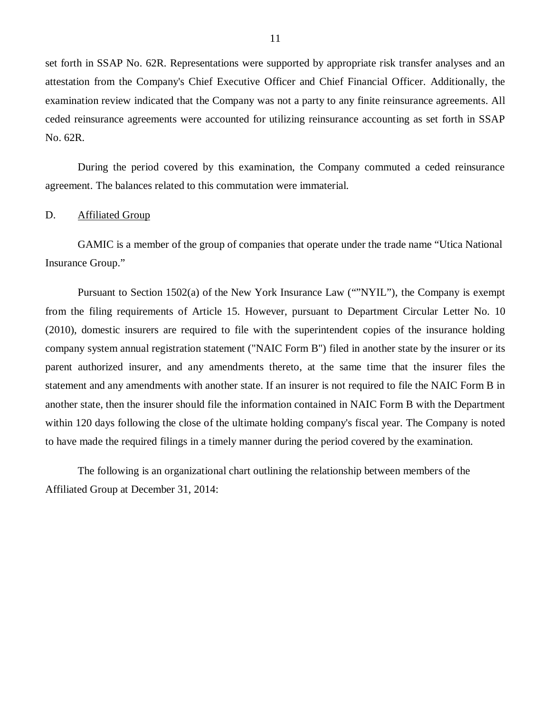<span id="page-12-0"></span>set forth in SSAP No. 62R. Representations were supported by appropriate risk transfer analyses and an attestation from the Company's Chief Executive Officer and Chief Financial Officer. Additionally, the examination review indicated that the Company was not a party to any finite reinsurance agreements. All ceded reinsurance agreements were accounted for utilizing reinsurance accounting as set forth in SSAP No. 62R.

During the period covered by this examination, the Company commuted a ceded reinsurance agreement. The balances related to this commutation were immaterial.

#### D. Affiliated Group

GAMIC is a member of the group of companies that operate under the trade name "Utica National Insurance Group."

Pursuant to Section 1502(a) of the New York Insurance Law (""NYIL"), the Company is exempt from the filing requirements of Article 15. However, pursuant to Department Circular Letter No. 10 (2010), domestic insurers are required to file with the superintendent copies of the insurance holding company system annual registration statement ("NAIC Form B") filed in another state by the insurer or its parent authorized insurer, and any amendments thereto, at the same time that the insurer files the statement and any amendments with another state. If an insurer is not required to file the NAIC Form B in another state, then the insurer should file the information contained in NAIC Form B with the Department within 120 days following the close of the ultimate holding company's fiscal year. The Company is noted to have made the required filings in a timely manner during the period covered by the examination.

The following is an organizational chart outlining the relationship between members of the Affiliated Group at December 31, 2014: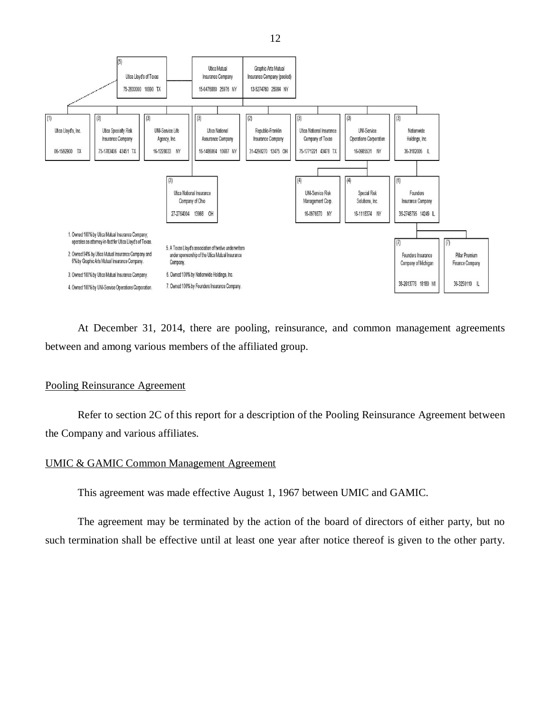

At December 31, 2014, there are pooling, reinsurance, and common management agreements between and among various members of the affiliated group.

#### Pooling Reinsurance Agreement

Refer to section 2C of this report for a description of the Pooling Reinsurance Agreement between the Company and various affiliates.

#### UMIC & GAMIC Common Management Agreement

This agreement was made effective August 1, 1967 between UMIC and GAMIC.

The agreement may be terminated by the action of the board of directors of either party, but no such termination shall be effective until at least one year after notice thereof is given to the other party.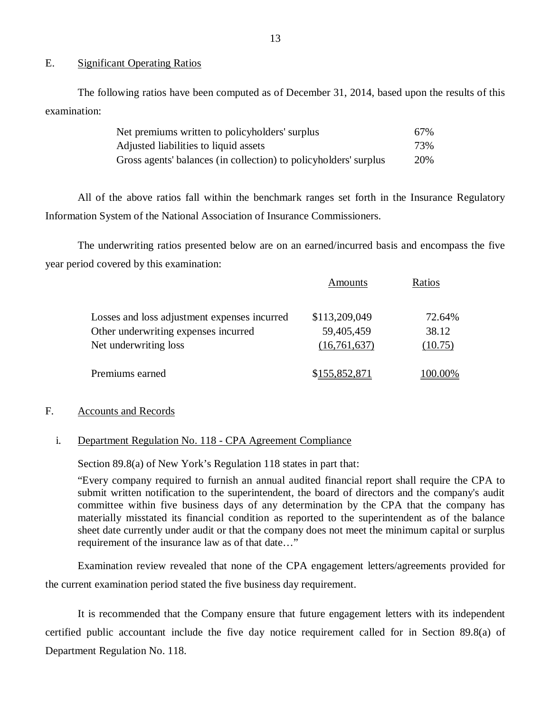#### E. Significant Operating Ratios

The following ratios have been computed as of December 31, 2014, based upon the results of this examination:

| Net premiums written to policyholders' surplus                   | 67% |
|------------------------------------------------------------------|-----|
| Adjusted liabilities to liquid assets                            | 73% |
| Gross agents' balances (in collection) to policyholders' surplus | 20% |

All of the above ratios fall within the benchmark ranges set forth in the Insurance Regulatory Information System of the National Association of Insurance Commissioners.

The underwriting ratios presented below are on an earned/incurred basis and encompass the five year period covered by this examination:

 $\mathbf{A}$ 

|                                              | Amounts       | Katios  |
|----------------------------------------------|---------------|---------|
| Losses and loss adjustment expenses incurred | \$113,209,049 | 72.64%  |
| Other underwriting expenses incurred         | 59,405,459    | 38.12   |
| Net underwriting loss                        | (16,761,637)  | (10.75) |
| Premiums earned                              | \$155,852,871 | 100.00% |

#### F. Accounts and Records

#### i. Department Regulation No. 118 - CPA Agreement Compliance

Section 89.8(a) of New York's Regulation 118 states in part that:

"Every company required to furnish an annual audited financial report shall require the CPA to submit written notification to the superintendent, the board of directors and the company's audit committee within five business days of any determination by the CPA that the company has materially misstated its financial condition as reported to the superintendent as of the balance sheet date currently under audit or that the company does not meet the minimum capital or surplus requirement of the insurance law as of that date…"

Examination review revealed that none of the CPA engagement letters/agreements provided for the current examination period stated the five business day requirement.

It is recommended that the Company ensure that future engagement letters with its independent certified public accountant include the five day notice requirement called for in Section 89.8(a) of Department Regulation No. 118.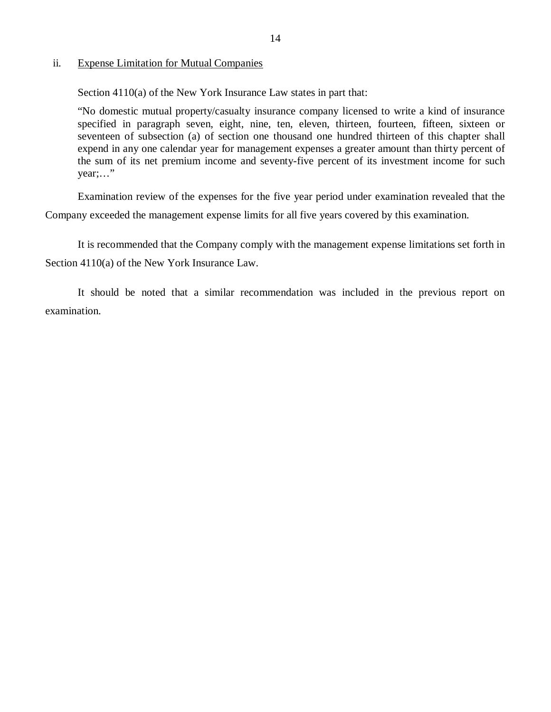#### ii. Expense Limitation for Mutual Companies

Section 4110(a) of the New York Insurance Law states in part that:

"No domestic mutual property/casualty insurance company licensed to write a kind of insurance specified in paragraph seven, eight, nine, ten, eleven, thirteen, fourteen, fifteen, sixteen or seventeen of subsection (a) of section one thousand one hundred thirteen of this chapter shall expend in any one calendar year for management expenses a greater amount than thirty percent of the sum of its net premium income and seventy-five percent of its investment income for such year;…"

Examination review of the expenses for the five year period under examination revealed that the Company exceeded the management expense limits for all five years covered by this examination.

It is recommended that the Company comply with the management expense limitations set forth in Section 4110(a) of the New York Insurance Law.

It should be noted that a similar recommendation was included in the previous report on examination.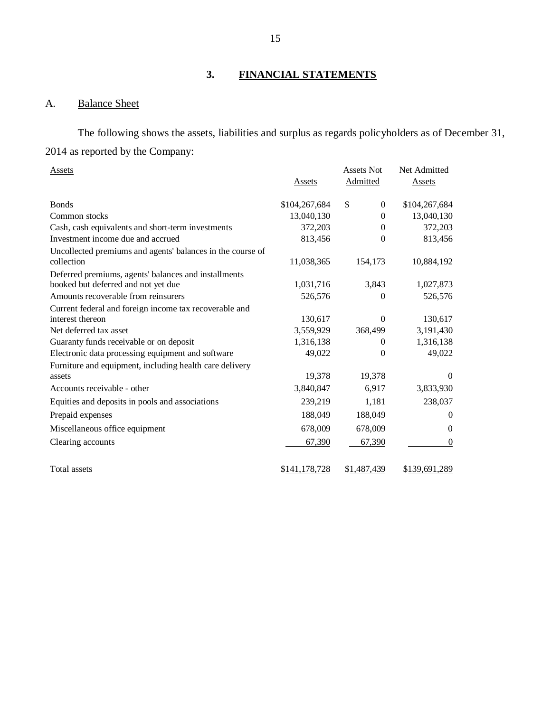## **3. FINANCIAL STATEMENTS**

# A. Balance Sheet

The following shows the assets, liabilities and surplus as regards policyholders as of December 31, 2014 as reported by the Company:

| Assets                                                     | Assets        | <b>Assets Not</b><br>Admitted | Net Admitted<br><b>Assets</b> |
|------------------------------------------------------------|---------------|-------------------------------|-------------------------------|
| <b>B</b> onds                                              | \$104,267,684 | \$<br>$\theta$                | \$104,267,684                 |
| Common stocks                                              | 13,040,130    | $\Omega$                      | 13,040,130                    |
| Cash, cash equivalents and short-term investments          | 372,203       | $\mathbf{0}$                  | 372,203                       |
| Investment income due and accrued                          | 813,456       | $\overline{0}$                | 813,456                       |
| Uncollected premiums and agents' balances in the course of |               |                               |                               |
| collection                                                 | 11,038,365    | 154,173                       | 10,884,192                    |
| Deferred premiums, agents' balances and installments       |               |                               |                               |
| booked but deferred and not yet due                        | 1,031,716     | 3,843                         | 1,027,873                     |
| Amounts recoverable from reinsurers                        | 526,576       | $\theta$                      | 526,576                       |
| Current federal and foreign income tax recoverable and     |               |                               |                               |
| interest thereon                                           | 130,617       | $\theta$                      | 130,617                       |
| Net deferred tax asset                                     | 3,559,929     | 368,499                       | 3,191,430                     |
| Guaranty funds receivable or on deposit                    | 1,316,138     | $\theta$                      | 1,316,138                     |
| Electronic data processing equipment and software          | 49,022        | $\theta$                      | 49,022                        |
| Furniture and equipment, including health care delivery    |               |                               |                               |
| assets                                                     | 19,378        | 19,378                        | $\Omega$                      |
| Accounts receivable - other                                | 3,840,847     | 6,917                         | 3,833,930                     |
| Equities and deposits in pools and associations            | 239,219       | 1,181                         | 238,037                       |
| Prepaid expenses                                           | 188,049       | 188,049                       | 0                             |
| Miscellaneous office equipment                             | 678,009       | 678,009                       | $\theta$                      |
| Clearing accounts                                          | 67,390        | 67,390                        | $\boldsymbol{0}$              |
| <b>Total assets</b>                                        | \$141,178,728 | \$1,487,439                   | \$139,691,289                 |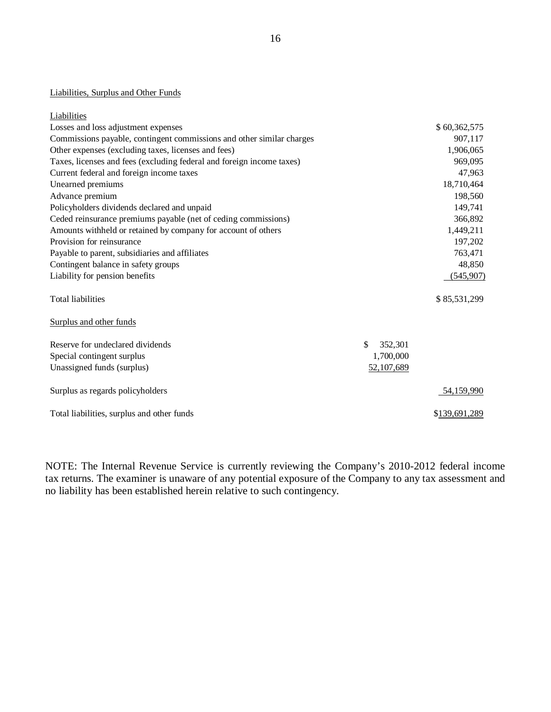#### Liabilities, Surplus and Other Funds

| Liabilities                                                           |               |               |
|-----------------------------------------------------------------------|---------------|---------------|
| Losses and loss adjustment expenses                                   |               | \$60,362,575  |
| Commissions payable, contingent commissions and other similar charges |               | 907,117       |
| Other expenses (excluding taxes, licenses and fees)                   |               | 1,906,065     |
| Taxes, licenses and fees (excluding federal and foreign income taxes) |               | 969,095       |
| Current federal and foreign income taxes                              |               | 47,963        |
| Unearned premiums                                                     |               | 18,710,464    |
| Advance premium                                                       |               | 198,560       |
| Policyholders dividends declared and unpaid                           |               | 149,741       |
| Ceded reinsurance premiums payable (net of ceding commissions)        |               | 366,892       |
| Amounts withheld or retained by company for account of others         |               | 1,449,211     |
| Provision for reinsurance                                             |               | 197,202       |
| Payable to parent, subsidiaries and affiliates                        |               | 763,471       |
| Contingent balance in safety groups                                   |               | 48,850        |
| Liability for pension benefits                                        |               | (545,907)     |
| <b>Total liabilities</b>                                              |               | \$85,531,299  |
| Surplus and other funds                                               |               |               |
| Reserve for undeclared dividends                                      | \$<br>352,301 |               |
| Special contingent surplus                                            | 1,700,000     |               |
| Unassigned funds (surplus)                                            | 52,107,689    |               |
| Surplus as regards policyholders                                      |               | 54,159,990    |
| Total liabilities, surplus and other funds                            |               | \$139,691,289 |

NOTE: The Internal Revenue Service is currently reviewing the Company's 2010-2012 federal income tax returns. The examiner is unaware of any potential exposure of the Company to any tax assessment and no liability has been established herein relative to such contingency.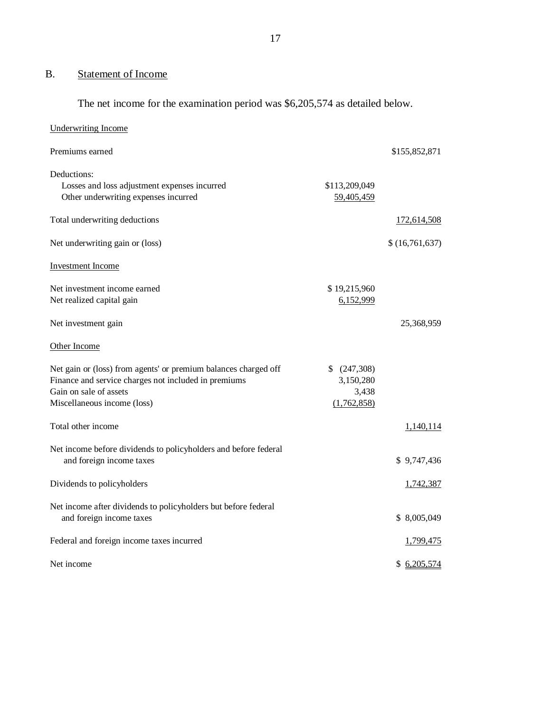# B. Statement of Income

The net income for the examination period was \$6,205,574 as detailed below.

| <b>Underwriting Income</b>                                                                                                                                                       |                                                |                  |
|----------------------------------------------------------------------------------------------------------------------------------------------------------------------------------|------------------------------------------------|------------------|
| Premiums earned                                                                                                                                                                  |                                                | \$155,852,871    |
| Deductions:<br>Losses and loss adjustment expenses incurred<br>Other underwriting expenses incurred                                                                              | \$113,209,049<br>59,405,459                    |                  |
| Total underwriting deductions                                                                                                                                                    |                                                | 172,614,508      |
| Net underwriting gain or (loss)                                                                                                                                                  |                                                | \$(16,761,637)   |
| <b>Investment Income</b>                                                                                                                                                         |                                                |                  |
| Net investment income earned<br>Net realized capital gain                                                                                                                        | \$19,215,960<br>6,152,999                      |                  |
| Net investment gain                                                                                                                                                              |                                                | 25,368,959       |
| Other Income                                                                                                                                                                     |                                                |                  |
| Net gain or (loss) from agents' or premium balances charged off<br>Finance and service charges not included in premiums<br>Gain on sale of assets<br>Miscellaneous income (loss) | (247,308)<br>3,150,280<br>3,438<br>(1,762,858) |                  |
| Total other income                                                                                                                                                               |                                                | 1,140,114        |
| Net income before dividends to policyholders and before federal<br>and foreign income taxes                                                                                      |                                                | \$9,747,436      |
| Dividends to policyholders                                                                                                                                                       |                                                | 1,742,387        |
| Net income after dividends to policyholders but before federal<br>and foreign income taxes                                                                                       |                                                | \$8,005,049      |
| Federal and foreign income taxes incurred                                                                                                                                        |                                                | <u>1,799,475</u> |
| Net income                                                                                                                                                                       |                                                | \$6,205,574      |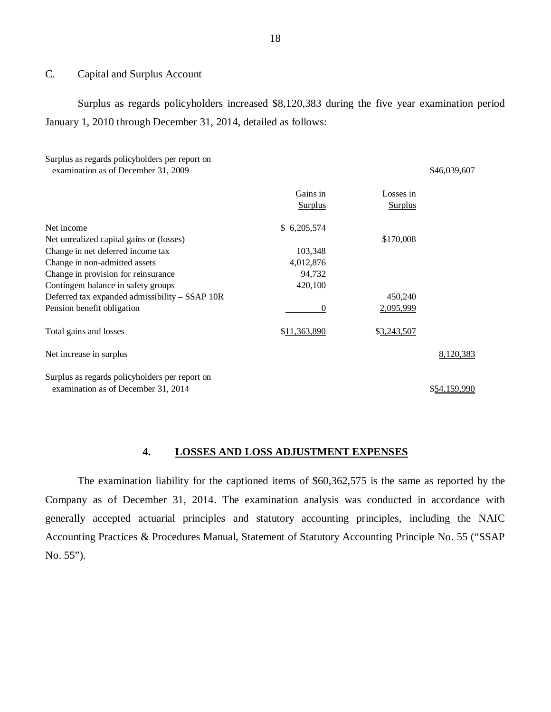#### C. Capital and Surplus Account

Surplus as regards policyholders increased \$8,120,383 during the five year examination period January 1, 2010 through December 31, 2014, detailed as follows:

| Surplus as regards policyholders per report on<br>examination as of December 31, 2009 |                |                | \$46,039,607 |
|---------------------------------------------------------------------------------------|----------------|----------------|--------------|
|                                                                                       | Gains in       | Losses in      |              |
|                                                                                       | <b>Surplus</b> | <b>Surplus</b> |              |
| Net income                                                                            | \$6,205,574    |                |              |
| Net unrealized capital gains or (losses)                                              |                | \$170,008      |              |
| Change in net deferred income tax                                                     | 103,348        |                |              |
| Change in non-admitted assets                                                         | 4,012,876      |                |              |
| Change in provision for reinsurance                                                   | 94,732         |                |              |
| Contingent balance in safety groups                                                   | 420,100        |                |              |
| Deferred tax expanded admissibility – SSAP 10R                                        |                | 450,240        |              |
| Pension benefit obligation                                                            | $\theta$       | 2,095,999      |              |
| Total gains and losses                                                                | \$11,363,890   | \$3,243,507    |              |
| Net increase in surplus                                                               |                |                | 8,120,383    |
| Surplus as regards policyholders per report on                                        |                |                |              |
| examination as of December 31, 2014                                                   |                |                | \$54,159,990 |

#### **4. LOSSES AND LOSS ADJUSTMENT EXPENSES**

The examination liability for the captioned items of \$60,362,575 is the same as reported by the Company as of December 31, 2014. The examination analysis was conducted in accordance with generally accepted actuarial principles and statutory accounting principles, including the NAIC Accounting Practices & Procedures Manual, Statement of Statutory Accounting Principle No. 55 ("SSAP No. 55").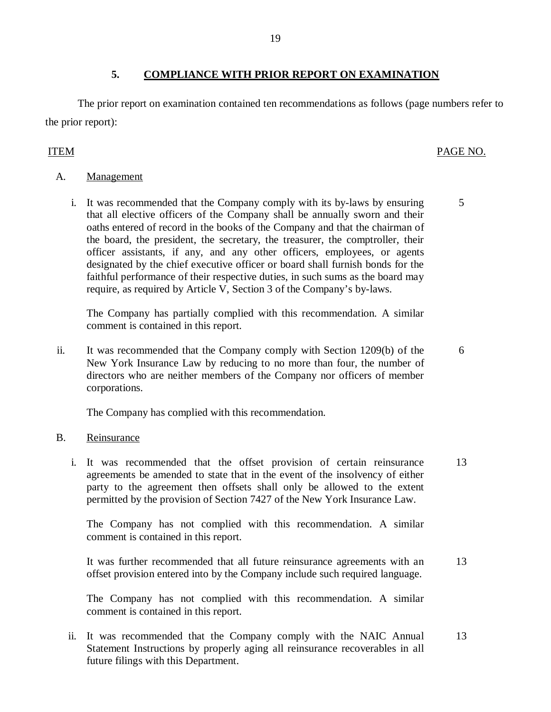## **5. COMPLIANCE WITH PRIOR REPORT ON EXAMINATION**

The prior report on examination contained ten recommendations as follows (page numbers refer to the prior report):

# ITEM PAGE NO.

5

6

- A. Management
	- i. It was recommended that the Company comply with its by-laws by ensuring that all elective officers of the Company shall be annually sworn and their oaths entered of record in the books of the Company and that the chairman of the board, the president, the secretary, the treasurer, the comptroller, their officer assistants, if any, and any other officers, employees, or agents designated by the chief executive officer or board shall furnish bonds for the faithful performance of their respective duties, in such sums as the board may require, as required by Article V, Section 3 of the Company's by-laws.

The Company has partially complied with this recommendation. A similar comment is contained in this report.

ii. It was recommended that the Company comply with Section 1209(b) of the New York Insurance Law by reducing to no more than four, the number of directors who are neither members of the Company nor officers of member corporations.

The Company has complied with this recommendation.

#### B. Reinsurance

i. It was recommended that the offset provision of certain reinsurance agreements be amended to state that in the event of the insolvency of either party to the agreement then offsets shall only be allowed to the extent permitted by the provision of Section 7427 of the New York Insurance Law. 13

The Company has not complied with this recommendation. A similar comment is contained in this report.

It was further recommended that all future reinsurance agreements with an offset provision entered into by the Company include such required language. 13

The Company has not complied with this recommendation. A similar comment is contained in this report.

ii. It was recommended that the Company comply with the NAIC Annual 13 Statement Instructions by properly aging all reinsurance recoverables in all future filings with this Department.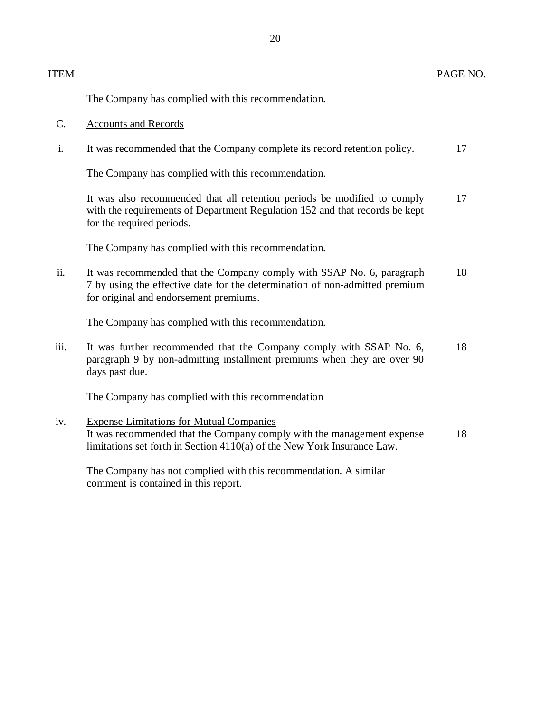#### ITEM PAGE NO.

The Company has complied with this recommendation.

- C. Accounts and Records
- i. It was recommended that the Company complete its record retention policy. 17

The Company has complied with this recommendation.

| It was also recommended that all retention periods be modified to comply    | 17 |
|-----------------------------------------------------------------------------|----|
| with the requirements of Department Regulation 152 and that records be kept |    |
| for the required periods.                                                   |    |

The Company has complied with this recommendation.

ii. It was recommended that the Company comply with SSAP No. 6, paragraph 18 7 by using the effective date for the determination of non-admitted premium for original and endorsement premiums.

The Company has complied with this recommendation.

iii. It was further recommended that the Company comply with SSAP No. 6, 18 paragraph 9 by non-admitting installment premiums when they are over 90 days past due.

The Company has complied with this recommendation

iv. Expense Limitations for Mutual Companies It was recommended that the Company comply with the management expense 18 limitations set forth in Section 4110(a) of the New York Insurance Law.

The Company has not complied with this recommendation. A similar comment is contained in this report.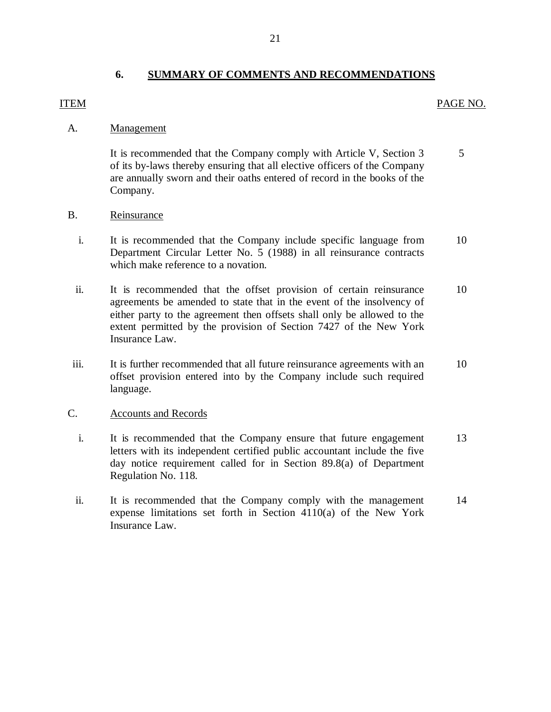#### **6. SUMMARY OF COMMENTS AND RECOMMENDATIONS**

#### <span id="page-22-0"></span>ITEM PAGE NO.

#### A. Management

5 It is recommended that the Company comply with Article V, Section 3 of its by-laws thereby ensuring that all elective officers of the Company are annually sworn and their oaths entered of record in the books of the Company.

### B. Reinsurance

- i. It is recommended that the Company include specific language from 10 Department Circular Letter No. 5 (1988) in all reinsurance contracts which make reference to a novation.
- ii. It is recommended that the offset provision of certain reinsurance 10 agreements be amended to state that in the event of the insolvency of either party to the agreement then offsets shall only be allowed to the extent permitted by the provision of Section 7427 of the New York Insurance Law.
- iii. It is further recommended that all future reinsurance agreements with an 10 offset provision entered into by the Company include such required language.

#### C. Accounts and Records

- i. It is recommended that the Company ensure that future engagement 13 letters with its independent certified public accountant include the five day notice requirement called for in Section 89.8(a) of Department Regulation No. 118.
- ii. It is recommended that the Company comply with the management 14 expense limitations set forth in Section 4110(a) of the New York Insurance Law.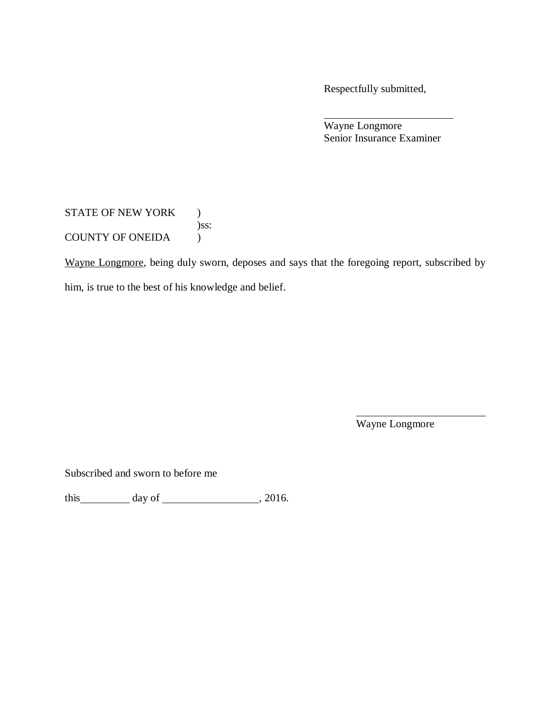Respectfully submitted,

Wayne Longmore Senior Insurance Examiner

STATE OF NEW YORK ) )ss: COUNTY OF ONEIDA )

Wayne Longmore, being duly sworn, deposes and says that the foregoing report, subscribed by

him, is true to the best of his knowledge and belief.

Wayne Longmore

Subscribed and sworn to before me

this day of , 2016.